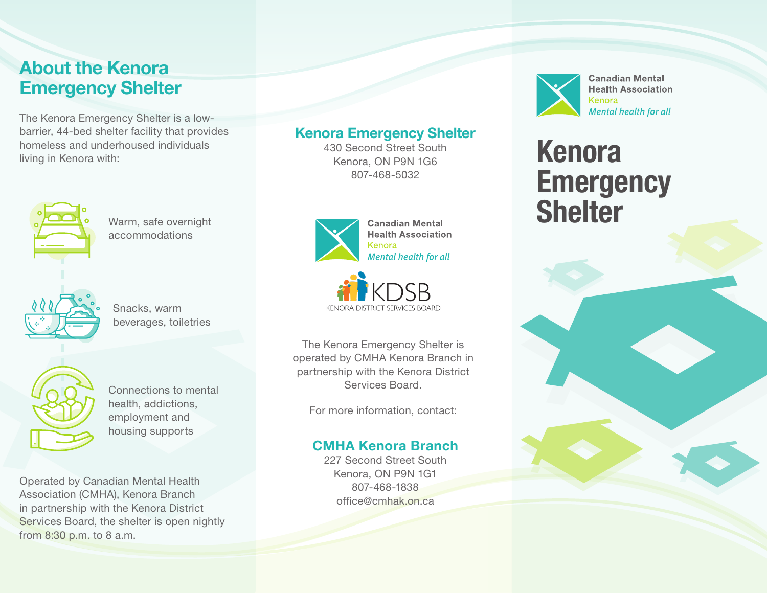# About the Kenora Emergency Shelter

The Kenora Emergency Shelter is a lowbarrier, 44-bed shelter facility that provides homeless and underhoused individuals living in Kenora with:



Warm, safe overnight accommodations



Snacks, warm beverages, toiletries



Connections to mental health, addictions, employment and housing supports

Operated by Canadian Mental Health Association (CMHA), Kenora Branch in partnership with the Kenora District Services Board, the shelter is open nightly from 8:30 p.m. to 8 a.m.

## Kenora Emergency Shelter

430 Second Street South Kenora, ON P9N 1G6 807-468-5032





The Kenora Emergency Shelter is operated by CMHA Kenora Branch in partnership with the Kenora District Services Board.

For more information, contact:

### CMHA Kenora Branch

227 Second Street South Kenora, ON P9N 1G1 807-468-1838 office@cmhak.on.ca



**Canadian Mental Health Association** Kenora Mental health for all

# Kenora **Emergency Shelter**